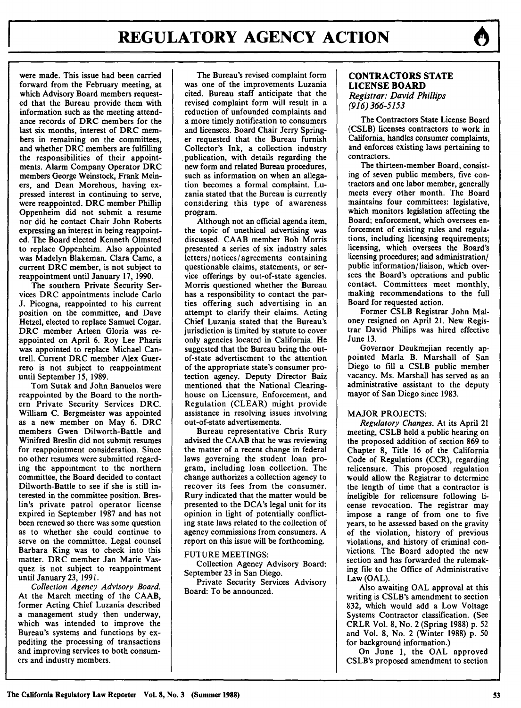were made. This issue had been carried forward from the February meeting, at which Advisory Board members requested that the Bureau provide them with information such as the meeting attendance records of **DRC** members for the last six months, interest of DRC members in remaining on the committees, and whether DRC members are fulfilling the responsibilities of their appointments. Alarm Company Operator DRC members George Weinstock, Frank Meiners, and Dean Morehous, having expressed interest in continuing to serve. were reappointed. DRC member Phillip Oppenheim did not submit a resume nor did he contact Chair John Roberts expressing an interest in being reappointed. The Board elected Kenneth Olmsted to replace Oppenheim. Also appointed was Madelyn Blakeman. Clara Came, a current DRC member, is not subject to reappointment until January **17,** 1990.

The southern Private Security Services DRC appointments include Carlo **J.** Picogna, reappointed to his current position on the committee, and Dave Hetzel, elected to replace Samuel Cogar. DRC member Arleen Gloria was reappointed on April 6. Roy Lee Pharis was appointed to replace Michael Cantrell. Current DRC member Alex Guerrero is not subject to reappointment until September **15, 1989.**

Tom Sutak and John Banuelos were reappointed **by** the Board to the northern Private Security Services DRC. William **C.** Bergmeister was appointed as a new member on May 6. DRC members Gwen Dilworth-Battle and Winifred Breslin did not submit resumes for reappointment consideration. Since no other resumes were submitted regarding the appointment to the northern committee, the Board decided to contact Dilworth-Battle to see if she is still interested in the committee position. Breslin's private patrol operator license expired in September **1987** and has not been renewed so there was some question as to whether she could continue to serve on the committee. Legal counsel Barbara King was to check into this matter. DRC member Jan Marie Vasquez is not subject to reappointment until January **23, 1991.**

*Collection Agency Advisory Board.* At the March meeting of the **CAAB,** former Acting Chief Luzania described a management study then underway, which was intended to improve the Bureau's systems and functions **by** expediting the processing of transactions and improving services to both consumers and industry members.

The Bureau's revised complaint form was one of the improvements Luzania cited. Bureau staff anticipate that the revised complaint form will result in a reduction of unfounded complaints and a more timely notification to consumers and licensees. Board Chair Jerry Springer requested that the Bureau furnish Collector's Ink, a collection industry publication, with details regarding the new form and related Bureau procedures, such as information on when an allegation becomes a formal complaint. Luzania stated that the Bureau is currently considering this type of awareness program.

Although not an official agenda item, the topic of unethical advertising was discussed. **CAAB** member Bob Morris presented a series of six industry sales letters/ notices/ agreements containing questionable claims, statements, or service offerings **by** out-of-state agencies. Morris questioned whether the Bureau has a responsibility to contact the parties offering such advertising in an attempt to clarify their claims. Acting Chief Luzania stated that the Bureau's jurisdiction is limited **by** statute to cover only agencies located in California. He suggested that the Bureau bring the outof-state advertisement to the attention of the appropriate state's consumer protection agency. Deputy Director Baiz mentioned that the National Clearinghouse on Licensure, Enforcement, and Regulation (CLEAR) might provide assistance in resolving issues involving out-of-state advertisements.

Bureau representative Chris Rury advised the **CAAB** that he was reviewing the matter of a recent change in federal laws governing the student loan program, including loan collection. The change authorizes a collection agency to recover its fees from the consumer. Rury indicated that the matter would be presented to the DCA's legal unit for its opinion in light of potentially conflicting state laws related to the collection of agency commissions from consumers. **A** report on this issue will be forthcoming.

#### **FUTURE** MEETINGS:

Collection Agency Advisory Board: September **23** in San Diego.

Private Security Services Advisory Board: To be announced.

#### **CONTRACTORS STATE LICENSE BOARD** *Registrar: David Phillips (916) 366-5153*

The Contractors State License Board **(CSLB)** licenses contractors to work in California, handles consumer complaints, and enforces existing laws pertaining to contractors.

The thirteen-member Board, consisting of seven public members, five contractors and one labor member, generally meets every other month. The Board maintains four committees: legislative, which monitors legislation affecting the Board; enforcement, which oversees enforcement of existing rules and regulations, including licensing requirements; licensing, which oversees the Board's licensing procedures; and administration/ public information/ liaison, which oversees the Board's operations and public contact. Committees meet monthly, making recommendations to the full Board for requested action.

Former **CSLB** Registrar John Maloney resigned on April 21. New Registrar David Philips was hired effective June **13.**

Governor Deukmejian recently appointed Marla B. Marshall of San Diego to fill a CSLB public member vacancy. Ms. Marshall has served as an administrative assistant to the deputy mayor of San Diego since **1983.**

### MAJOR PROJECTS:

*Regulatory Changes.* At its April 21 meeting, CSLB held a public hearing on the proposed addition of section **869** to Chapter **8,** Title 16 of the California Code of Regulations (CCR), regarding relicensure. This proposed regulation would allow the Registrar to determine the length of time that a contractor is ineligible for relicensure following license revocation. The registrar may impose a range of from one to five years, to be assessed based on the gravity of the violation, history of previous violations, and history of criminal convictions. The Board adopted the new section and has forwarded the rulemaking file to the Office of Administrative Law **(OAL).**

Also awaiting **OAL** approval at this writing is CSLB's amendment to section **832,** which would add a Low Voltage Systems Contractor classification. (See CRLR Vol. **8,** No. 2 (Spring **1988) p. 52** and Vol. **8,** No. 2 (Winter **1988) p. 50** for background information.)

On June **1,** the **OAL** approved CSLB's proposed amendment to section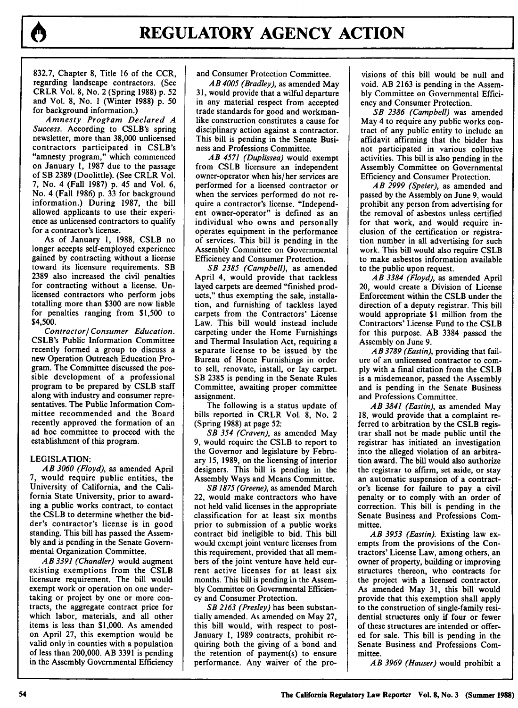

832.7, Chapter **8,** Title **16** of the CCR, regarding landscape contractors. (See CRLR Vol. **8,** No. 2 (Spring **1988) p. 52** and Vol. **8,** No. **I** (Winter **1988) p. 50** for background information.)

*Amnesty Program Declared A Success.* According to CSLB's spring newsletter, more than **38,000** unlicensed contractors participated in CSLB's "amnesty program," which commenced on January **1, 1987** due to the passage of SB **2389** (Doolittle). (See CRLR Vol. **7,** No. 4 (Fall **1987) p.** 45 and Vol. **6,** No. 4 (Fall **1986) p. 33** for background information.) During **1987,** the bill allowed applicants to use their experience as unlicensed contractors to qualify for a contractor's license.

As of January **1,** 1988, CSLB no longer accepts self-employed experience gained by contracting without a license toward its licensure requirements. SB 2389 also increased the civil penalties for contracting without a license. Unlicensed contractors who perform jobs totalling more than \$300 are now liable for penalties ranging from \$1,500 to \$4,500.

*Contractor! Consumer Education.* CSLB's Public Information Committee recently formed a group to discuss a new Operation Outreach Education Program. The Committee discussed the possible development of a professional program to be prepared **by CSLB** staff along with industry and consumer representatives. The Public Information Committee recommended and the Board recently approved the formation of an ad hoc committee to proceed with the establishment of this program.

#### LEGISLATION:

*AB 3060 (Floyd),* as amended April **7,** would require public entities, the University of California, and the California State University, prior to awarding a public works contract, to contact the **CSLB** to determine whether the bidder's contractor's license is in good standing. This **bill** has passed the Assem**bly** and is pending in the Senate Governmental Organization Committee.

*AB 3391 (Chandler)* would augment existing exemptions from the **CSLB** licensure requirement. The bill would exempt work or operation on one undertaking or project **by** one or more contracts, the aggregate contract price for which labor, materials, and all other items is less than **\$1,000.** As amended on April **27,** this exemption would be valid only in counties with a population of less than 200,000. AB **3391** is pending in the Assembly Governmental Efficiency and Consumer Protection Committee.

*AB 4005 (Bradley),* as amended May 31, would provide that a wilful departure in any material respect from accepted trade standards for good and workmanlike construction constitutes a cause for disciplinary action against a contractor. This bill is pending in the Senate Business and Professions Committee.

*AB 4571 (Duplissea)* would exempt from CSLB licensure an independent owner-operator when his/her services are performed for a licensed contractor or when the services performed do not require a contractor's license. "Independent owner-operator" is defined as an individual who owns and personally operates equipment in the performance of services. This bill is pending in the Assembly Committee on Governmental Efficiency and Consumer Protection.

*SB 2385 (Campbell),* as amended April 4, would provide that tackless layed carpets are deemed "finished products," thus exempting the sale, installation, and furnishing of tackless layed carpets from the Contractors' License Law. This bill would instead include carpeting under the Home Furnishings and Thermal Insulation Act, requiring a separate license to be issued by the Bureau of Home Furnishings in order to sell, renovate, install, or lay carpet. SB 2385 is pending in the Senate Rules Committee, awaiting proper committee assignment.

The following is a status update of bills reported in CRLR Vol. 8, No. 2 (Spring 1988) at page 52:

*SB 354 (Craven),* as amended May 9, would require the CSLB to report to the Governor and legislature by February 15, 1989, on the licensing of interior designers. This bill is pending in the Assembly Ways and Means Committee.

*SB 1875 (Greene),* as amended March 22, would make contractors who have not held valid licenses in the appropriate classification for at least six months prior to submission of a public works contract bid ineligible to bid. This bill would exempt joint venture licenses from this requirement, provided that all members of the joint venture have held current active licenses for at least six months. This bill is pending in the Assembly Committee on Governmental Efficiency and Consumer Protection.

*SB 2163 (Presley)* has been substantially amended. As amended on May 27, this bill would, with respect to post-January 1, 1989 contracts, prohibit requiring both the giving of a bond and the retention of payment(s) to ensure performance. Any waiver of the pro-

visions of this bill would be null and void. AB **2163** is pending in the Assembly Committee on Governmental Efficiency and Consumer Protection.

*SB 2386 (Campbell)* was amended May 4 to require any public works contract of any public entity to include an affidavit affirming that the bidder has not participated in various collusive activities. This bill is also pending in the Assembly Committee on Governmental Efficiency and Consumer Protection.

*AB 2999 (Speier),* as amended and passed by the Assembly on June 9, would prohibit any person from advertising for the removal of asbestos unless certified for that work, and would require inclusion of the certification or registration number in all advertising for such work. This bill would also require CSLB to make asbestos information available to the public upon request.

*AB 3384 (Floyd),* as amended April 20, would create a Division of License Enforcement within the CSLB under the direction of a deputy registrar. This bill would appropriate \$1 million from the Contractors' License Fund to the CSLB for this purpose. AB 3384 passed the Assembly on June 9.

*AB 3789 (Eastin),* providing that failure of an unlicensed contractor to comply with a final citation from the CSLB is a misdemeanor, passed the Assembly and is pending in the Senate Business and Professions Committee.

*AB 3841 (Eastin),* as amended May 18, would provide that a complaint referred to arbitration by the CSLB registrar shall not be made public until the registrar has initiated an investigation into the alleged violation of an arbitration award. The bill would also authorize the registrar to affirm, set aside, or stay an automatic suspension of a contractor's license for failure to pay a civil penalty or to comply with an order of correction. This bill is pending in the Senate Business and Professions Committee.

*AB 3953 (Eastin).* Existing law exempts from the provisions of the Contractors' License Law, among others, an owner of property, building or improving structures thereon, who contracts for the project with a licensed contractor. As amended May 31, this bill would provide that this exemption shall apply to the construction of single-family residential structures only if four or fewer of these structures are intended or offered for sale. This bill is pending in the Senate Business and Professions Committee.

*AB 3969 (Hauser)* would prohibit a